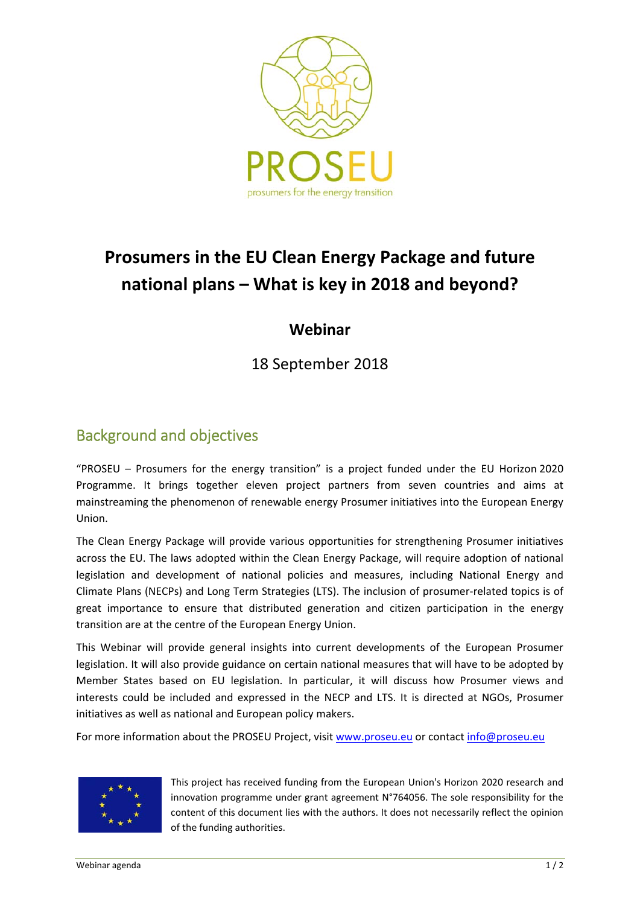

# **Prosumers in the EU Clean Energy Package and future national plans – What is key in 2018 and beyond?**

### **Webinar**

18 September 2018

## Background and objectives

"PROSEU – Prosumers for the energy transition" is a project funded under the EU Horizon 2020 Programme. It brings together eleven project partners from seven countries and aims at mainstreaming the phenomenon of renewable energy Prosumer initiatives into the European Energy Union.

The Clean Energy Package will provide various opportunities for strengthening Prosumer initiatives across the EU. The laws adopted within the Clean Energy Package, will require adoption of national legislation and development of national policies and measures, including National Energy and Climate Plans (NECPs) and Long Term Strategies (LTS). The inclusion of prosumer‐related topics is of great importance to ensure that distributed generation and citizen participation in the energy transition are at the centre of the European Energy Union.

This Webinar will provide general insights into current developments of the European Prosumer legislation. It will also provide guidance on certain national measures that will have to be adopted by Member States based on EU legislation. In particular, it will discuss how Prosumer views and interests could be included and expressed in the NECP and LTS. It is directed at NGOs, Prosumer initiatives as well as national and European policy makers.

For more information about the PROSEU Project, visit www.proseu.eu or contact info@proseu.eu



This project has received funding from the European Union's Horizon 2020 research and innovation programme under grant agreement N°764056. The sole responsibility for the content of this document lies with the authors. It does not necessarily reflect the opinion of the funding authorities.